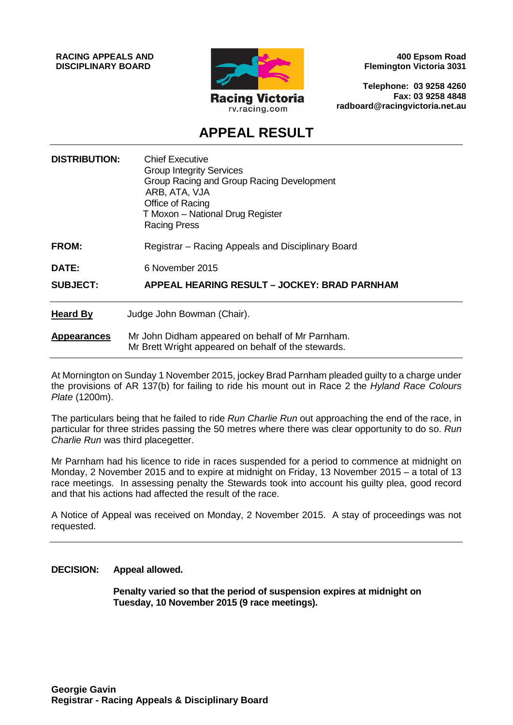**RACING APPEALS AND DISCIPLINARY BOARD**



**400 Epsom Road Flemington Victoria 3031**

**Telephone: 03 9258 4260 Fax: 03 9258 4848 radboard@racingvictoria.net.au**

# **APPEAL RESULT**

| <b>DISTRIBUTION:</b> | <b>Chief Executive</b><br><b>Group Integrity Services</b><br>Group Racing and Group Racing Development<br>ARB, ATA, VJA<br>Office of Racing<br>T Moxon - National Drug Register<br><b>Racing Press</b> |
|----------------------|--------------------------------------------------------------------------------------------------------------------------------------------------------------------------------------------------------|
| <b>FROM:</b>         | Registrar – Racing Appeals and Disciplinary Board                                                                                                                                                      |
| DATE:                | 6 November 2015                                                                                                                                                                                        |
| <b>SUBJECT:</b>      | <b>APPEAL HEARING RESULT - JOCKEY: BRAD PARNHAM</b>                                                                                                                                                    |
| <b>Heard By</b>      | Judge John Bowman (Chair).                                                                                                                                                                             |
| <b>Appearances</b>   | Mr John Didham appeared on behalf of Mr Parnham.<br>Mr Brett Wright appeared on behalf of the stewards.                                                                                                |

At Mornington on Sunday 1 November 2015, jockey Brad Parnham pleaded guilty to a charge under the provisions of AR 137(b) for failing to ride his mount out in Race 2 the *Hyland Race Colours Plate* (1200m).

The particulars being that he failed to ride *Run Charlie Run* out approaching the end of the race, in particular for three strides passing the 50 metres where there was clear opportunity to do so. *Run Charlie Run* was third placegetter.

Mr Parnham had his licence to ride in races suspended for a period to commence at midnight on Monday, 2 November 2015 and to expire at midnight on Friday, 13 November 2015 – a total of 13 race meetings. In assessing penalty the Stewards took into account his guilty plea, good record and that his actions had affected the result of the race.

A Notice of Appeal was received on Monday, 2 November 2015. A stay of proceedings was not requested.

**DECISION: Appeal allowed.**

**Penalty varied so that the period of suspension expires at midnight on Tuesday, 10 November 2015 (9 race meetings).**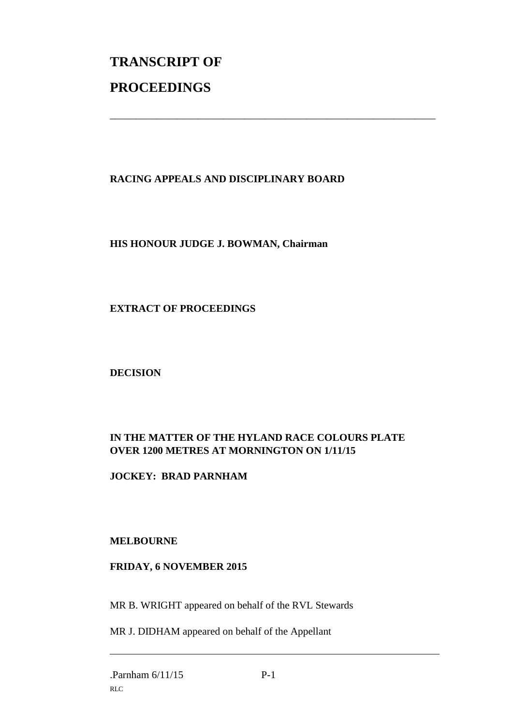# **TRANSCRIPT OF PROCEEDINGS**

## **RACING APPEALS AND DISCIPLINARY BOARD**

\_\_\_\_\_\_\_\_\_\_\_\_\_\_\_\_\_\_\_\_\_\_\_\_\_\_\_\_\_\_\_\_\_\_\_\_\_\_\_\_\_\_\_\_\_\_\_\_\_\_\_\_\_\_\_\_\_\_\_\_\_\_\_

#### **HIS HONOUR JUDGE J. BOWMAN, Chairman**

#### **EXTRACT OF PROCEEDINGS**

**DECISION**

### **IN THE MATTER OF THE HYLAND RACE COLOURS PLATE OVER 1200 METRES AT MORNINGTON ON 1/11/15**

**JOCKEY: BRAD PARNHAM**

#### **MELBOURNE**

#### **FRIDAY, 6 NOVEMBER 2015**

MR B. WRIGHT appeared on behalf of the RVL Stewards

MR J. DIDHAM appeared on behalf of the Appellant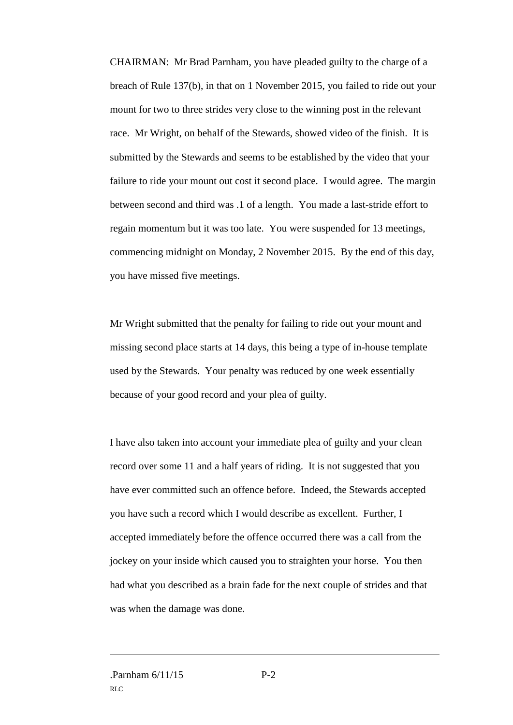CHAIRMAN: Mr Brad Parnham, you have pleaded guilty to the charge of a breach of Rule 137(b), in that on 1 November 2015, you failed to ride out your mount for two to three strides very close to the winning post in the relevant race. Mr Wright, on behalf of the Stewards, showed video of the finish. It is submitted by the Stewards and seems to be established by the video that your failure to ride your mount out cost it second place. I would agree. The margin between second and third was .1 of a length. You made a last-stride effort to regain momentum but it was too late. You were suspended for 13 meetings, commencing midnight on Monday, 2 November 2015. By the end of this day, you have missed five meetings.

Mr Wright submitted that the penalty for failing to ride out your mount and missing second place starts at 14 days, this being a type of in-house template used by the Stewards. Your penalty was reduced by one week essentially because of your good record and your plea of guilty.

I have also taken into account your immediate plea of guilty and your clean record over some 11 and a half years of riding. It is not suggested that you have ever committed such an offence before. Indeed, the Stewards accepted you have such a record which I would describe as excellent. Further, I accepted immediately before the offence occurred there was a call from the jockey on your inside which caused you to straighten your horse. You then had what you described as a brain fade for the next couple of strides and that was when the damage was done.